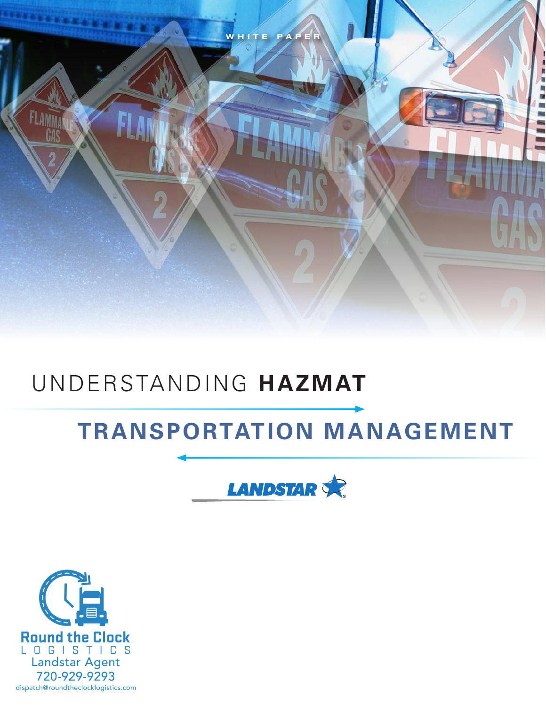

# UNDERSTANDING **HAZMAT**

# **TRANSPORTATION MANAGEMENT**



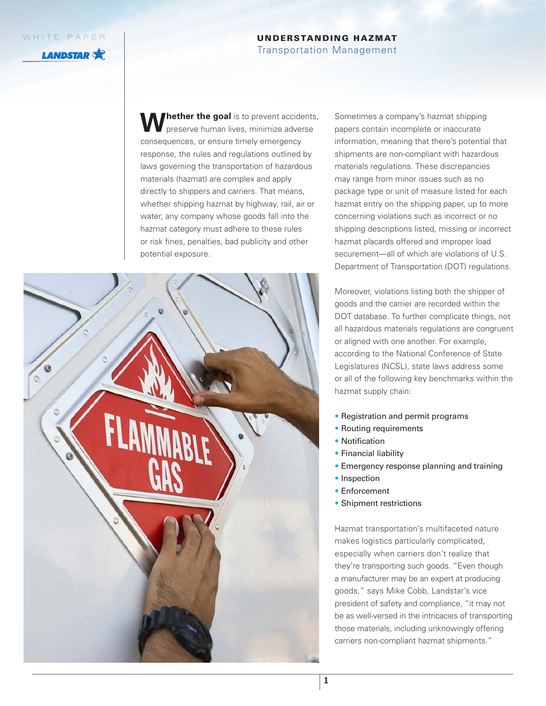**LANDSTAR** 

# UNDERSTANDING HAZMAT

#### Transportation Management

**Thether the goal** is to prevent accidents, preserve human lives, minimize adverse consequences, or ensure timely emergency response, the rules and regulations outlined by laws governing the transportation of hazardous materials (hazmat) are complex and apply directly to shippers and carriers. That means, whether shipping hazmat by highway, rail, air or water, any company whose goods fall into the hazmat category must adhere to these rules or risk fines, penalties, bad publicity and other potential exposure.



Sometimes a company's hazmat shipping papers contain incomplete or inaccurate information, meaning that there's potential that shipments are non-compliant with hazardous materials regulations. These discrepancies may range from minor issues such as no package type or unit of measure listed for each hazmat entry on the shipping paper, up to more concerning violations such as incorrect or no shipping descriptions listed, missing or incorrect hazmat placards offered and improper load securement—all of which are violations of U.S. Department of Transportation (DOT) regulations.

Moreover, violations listing both the shipper of goods and the carrier are recorded within the DOT database. To further complicate things, not all hazardous materials regulations are congruent or aligned with one another. For example, according to the National Conference of State Legislatures (NCSL), state laws address some or all of the following key benchmarks within the hazmat supply chain:

- Registration and permit programs
- Routing requirements
- Notification
- Financial liability
- Emergency response planning and training
- Inspection
- Enforcement
- Shipment restrictions

Hazmat transportation's multifaceted nature makes logistics particularly complicated, especially when carriers don't realize that they're transporting such goods. "Even though a manufacturer may be an expert at producing goods," says Mike Cobb, Landstar's vice president of safety and compliance, "it may not be as well-versed in the intricacies of transporting those materials, including unknowingly offering carriers non-compliant hazmat shipments."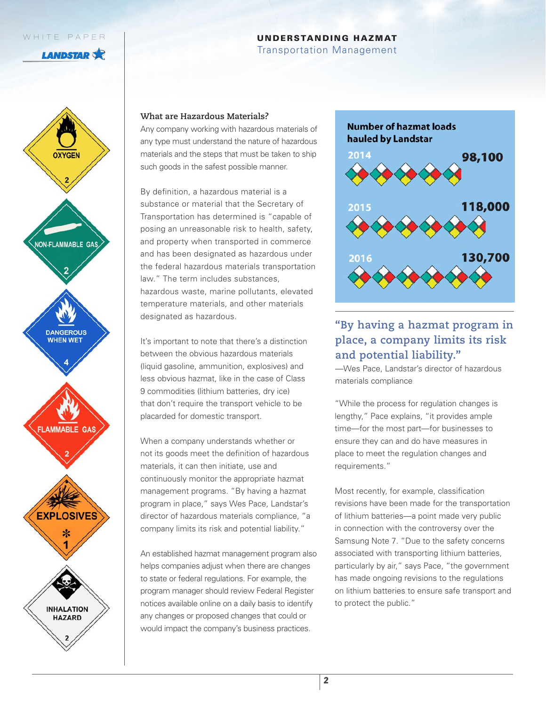**LANDSTAR** 

## UNDERSTANDING HAZMAT

Transportation Management



#### **What are Hazardous Materials?**

Any company working with hazardous materials of any type must understand the nature of hazardous materials and the steps that must be taken to ship such goods in the safest possible manner.

By definition, a hazardous material is a substance or material that the Secretary of Transportation has determined is "capable of posing an unreasonable risk to health, safety, and property when transported in commerce and has been designated as hazardous under the federal hazardous materials transportation law." The term includes substances, hazardous waste, marine pollutants, elevated temperature materials, and other materials designated as hazardous.

It's important to note that there's a distinction between the obvious hazardous materials (liquid gasoline, ammunition, explosives) and less obvious hazmat, like in the case of Class 9 commodities (lithium batteries, dry ice) that don't require the transport vehicle to be placarded for domestic transport.

When a company understands whether or not its goods meet the definition of hazardous materials, it can then initiate, use and continuously monitor the appropriate hazmat management programs. "By having a hazmat program in place," says Wes Pace, Landstar's director of hazardous materials compliance, "a company limits its risk and potential liability."

An established hazmat management program also helps companies adjust when there are changes to state or federal regulations. For example, the program manager should review Federal Register notices available online on a daily basis to identify any changes or proposed changes that could or would impact the company's business practices.



# **"By having a hazmat program in place, a company limits its risk and potential liability."**

—Wes Pace, Landstar's director of hazardous materials compliance

"While the process for regulation changes is lengthy," Pace explains, "it provides ample time—for the most part—for businesses to ensure they can and do have measures in place to meet the regulation changes and requirements."

Most recently, for example, classification revisions have been made for the transportation of lithium batteries—a point made very public in connection with the controversy over the Samsung Note 7. "Due to the safety concerns associated with transporting lithium batteries, particularly by air," says Pace, "the government has made ongoing revisions to the regulations on lithium batteries to ensure safe transport and to protect the public."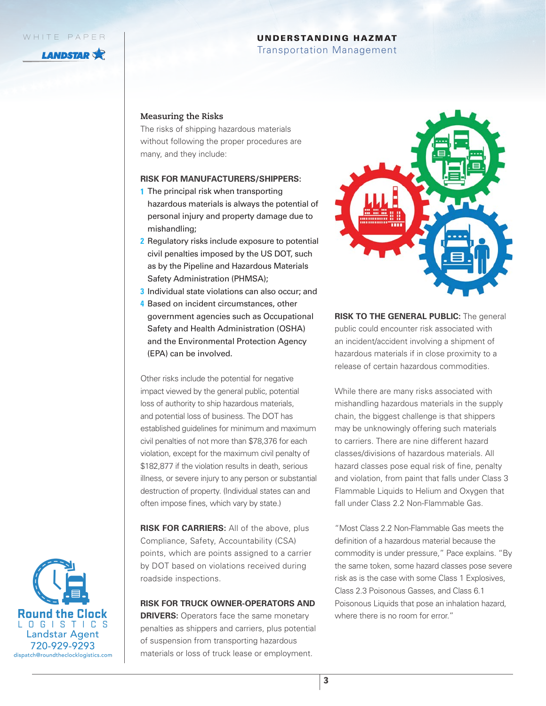**LANDSTAR** 

#### UNDERSTANDING HAZMAT

Transportation Management

#### **Measuring the Risks**

The risks of shipping hazardous materials without following the proper procedures are many, and they include:

#### **RISK FOR MANUFACTURERS/SHIPPERS:**

- **1** The principal risk when transporting hazardous materials is always the potential of personal injury and property damage due to mishandling;
- **2** Regulatory risks include exposure to potential civil penalties imposed by the US DOT, such as by the Pipeline and Hazardous Materials Safety Administration (PHMSA);
- **3** Individual state violations can also occur; and
- **4** Based on incident circumstances, other government agencies such as Occupational Safety and Health Administration (OSHA) and the Environmental Protection Agency (EPA) can be involved.

Other risks include the potential for negative impact viewed by the general public, potential loss of authority to ship hazardous materials, and potential loss of business. The DOT has established guidelines for minimum and maximum civil penalties of not more than \$78,376 for each violation, except for the maximum civil penalty of \$182,877 if the violation results in death, serious illness, or severe injury to any person or substantial destruction of property. (Individual states can and often impose fines, which vary by state.)

**RISK FOR CARRIERS:** All of the above, plus Compliance, Safety, Accountability (CSA) points, which are points assigned to a carrier by DOT based on violations received during roadside inspections.

## **RISK FOR TRUCK OWNER-OPERATORS AND**

**DRIVERS:** Operators face the same monetary penalties as shippers and carriers, plus potential of suspension from transporting hazardous materials or loss of truck lease or employment.



**RISK TO THE GENERAL PUBLIC:** The general public could encounter risk associated with an incident/accident involving a shipment of hazardous materials if in close proximity to a release of certain hazardous commodities.

While there are many risks associated with mishandling hazardous materials in the supply chain, the biggest challenge is that shippers may be unknowingly offering such materials to carriers. There are nine different hazard classes/divisions of hazardous materials. All hazard classes pose equal risk of fine, penalty and violation, from paint that falls under Class 3 Flammable Liquids to Helium and Oxygen that fall under Class 2.2 Non-Flammable Gas.

"Most Class 2.2 Non-Flammable Gas meets the definition of a hazardous material because the commodity is under pressure," Pace explains. "By the same token, some hazard classes pose severe risk as is the case with some Class 1 Explosives, Class 2.3 Poisonous Gasses, and Class 6.1 Poisonous Liquids that pose an inhalation hazard, where there is no room for error."

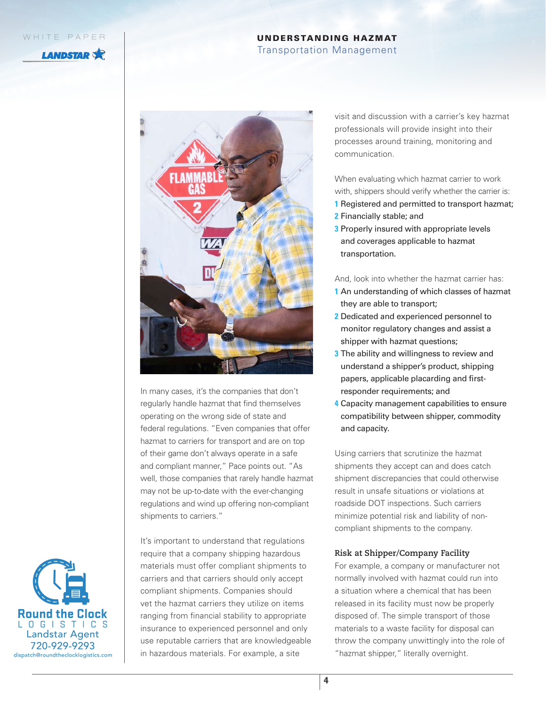**LANDSTAR** 

# UNDERSTANDING HAZMAT

Transportation Management



In many cases, it's the companies that don't regularly handle hazmat that find themselves

operating on the wrong side of state and federal regulations. "Even companies that offer hazmat to carriers for transport and are on top of their game don't always operate in a safe and compliant manner," Pace points out. "As well, those companies that rarely handle hazmat may not be up-to-date with the ever-changing regulations and wind up offering non-compliant shipments to carriers."

It's important to understand that regulations require that a company shipping hazardous materials must offer compliant shipments to carriers and that carriers should only accept compliant shipments. Companies should vet the hazmat carriers they utilize on items ranging from financial stability to appropriate insurance to experienced personnel and only use reputable carriers that are knowledgeable in hazardous materials. For example, a site

visit and discussion with a carrier's key hazmat professionals will provide insight into their processes around training, monitoring and communication.

When evaluating which hazmat carrier to work with, shippers should verify whether the carrier is: **1** Registered and permitted to transport hazmat;

- **2** Financially stable; and
- **3** Properly insured with appropriate levels and coverages applicable to hazmat transportation.

And, look into whether the hazmat carrier has:

- **1** An understanding of which classes of hazmat they are able to transport;
- **2** Dedicated and experienced personnel to monitor regulatory changes and assist a shipper with hazmat questions;
- **3** The ability and willingness to review and understand a shipper's product, shipping papers, applicable placarding and firstresponder requirements; and
- **4** Capacity management capabilities to ensure compatibility between shipper, commodity and capacity.

Using carriers that scrutinize the hazmat shipments they accept can and does catch shipment discrepancies that could otherwise result in unsafe situations or violations at roadside DOT inspections. Such carriers minimize potential risk and liability of noncompliant shipments to the company.

## **Risk at Shipper/Company Facility**

For example, a company or manufacturer not normally involved with hazmat could run into a situation where a chemical that has been released in its facility must now be properly disposed of. The simple transport of those materials to a waste facility for disposal can throw the company unwittingly into the role of "hazmat shipper," literally overnight.

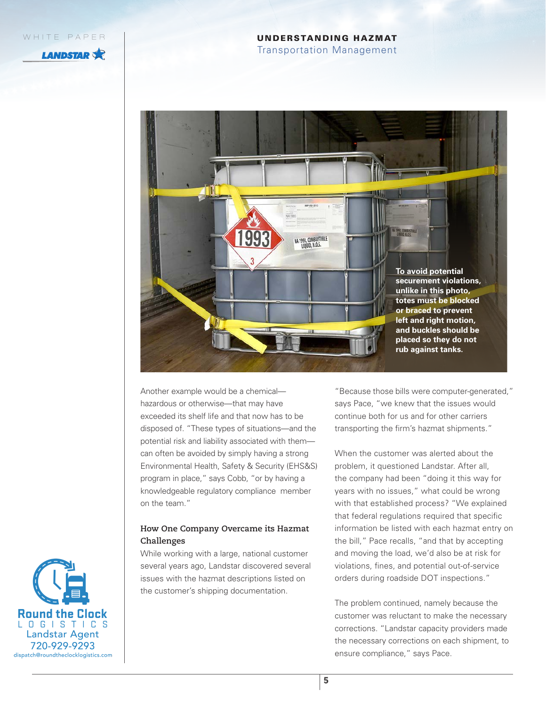**LANDSTAR** 

# UNDERSTANDING HAZMAT

Transportation Management



Another example would be a chemical hazardous or otherwise—that may have exceeded its shelf life and that now has to be disposed of. "These types of situations—and the potential risk and liability associated with them can often be avoided by simply having a strong Environmental Health, Safety & Security (EHS&S) program in place," says Cobb, "or by having a knowledgeable regulatory compliance member on the team."

# **How One Company Overcame its Hazmat Challenges**

While working with a large, national customer several years ago, Landstar discovered several issues with the hazmat descriptions listed on the customer's shipping documentation.

"Because those bills were computer-generated," says Pace, "we knew that the issues would continue both for us and for other carriers transporting the firm's hazmat shipments."

When the customer was alerted about the problem, it questioned Landstar. After all, the company had been "doing it this way for years with no issues," what could be wrong with that established process? "We explained that federal regulations required that specific information be listed with each hazmat entry on the bill," Pace recalls, "and that by accepting and moving the load, we'd also be at risk for violations, fines, and potential out-of-service orders during roadside DOT inspections."

The problem continued, namely because the customer was reluctant to make the necessary corrections. "Landstar capacity providers made the necessary corrections on each shipment, to ensure compliance," says Pace.

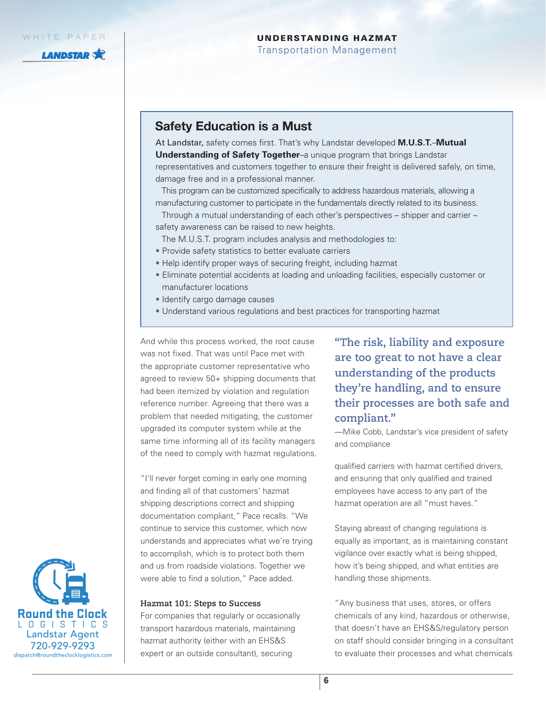**LANDSTAR** 

# UNDERSTANDING HAZMAT

Transportation Management

# Safety Education is a Must

At Landstar, safety comes first. That's why Landstar developed **M.U.S.T.**–**Mutual Understanding of Safety Together**–a unique program that brings Landstar representatives and customers together to ensure their freight is delivered safely, on time, damage free and in a professional manner.

This program can be customized specifically to address hazardous materials, allowing a manufacturing customer to participate in the fundamentals directly related to its business.

Through a mutual understanding of each other's perspectives – shipper and carrier – safety awareness can be raised to new heights.

- The M.U.S.T. program includes analysis and methodologies to:
- Provide safety statistics to better evaluate carriers
- Help identify proper ways of securing freight, including hazmat
- Eliminate potential accidents at loading and unloading facilities, especially customer or manufacturer locations
- Identify cargo damage causes
- Understand various regulations and best practices for transporting hazmat

And while this process worked, the root cause was not fixed. That was until Pace met with the appropriate customer representative who agreed to review 50+ shipping documents that had been itemized by violation and regulation reference number. Agreeing that there was a problem that needed mitigating, the customer upgraded its computer system while at the same time informing all of its facility managers of the need to comply with hazmat regulations.

"I'll never forget coming in early one morning and finding all of that customers' hazmat shipping descriptions correct and shipping documentation compliant," Pace recalls. "We continue to service this customer, which now understands and appreciates what we're trying to accomplish, which is to protect both them and us from roadside violations. Together we were able to find a solution," Pace added.

#### **Hazmat 101: Steps to Success**

For companies that regularly or occasionally transport hazardous materials, maintaining hazmat authority (either with an EHS&S expert or an outside consultant), securing

**"The risk, liability and exposure are too great to not have a clear understanding of the products they're handling, and to ensure their processes are both safe and compliant."** 

—Mike Cobb, Landstar's vice president of safety and compliance

qualified carriers with hazmat certified drivers, and ensuring that only qualified and trained employees have access to any part of the hazmat operation are all "must haves."

Staying abreast of changing regulations is equally as important, as is maintaining constant vigilance over exactly what is being shipped, how it's being shipped, and what entities are handling those shipments.

"Any business that uses, stores, or offers chemicals of any kind, hazardous or otherwise, that doesn't have an EHS&S/regulatory person on staff should consider bringing in a consultant to evaluate their processes and what chemicals